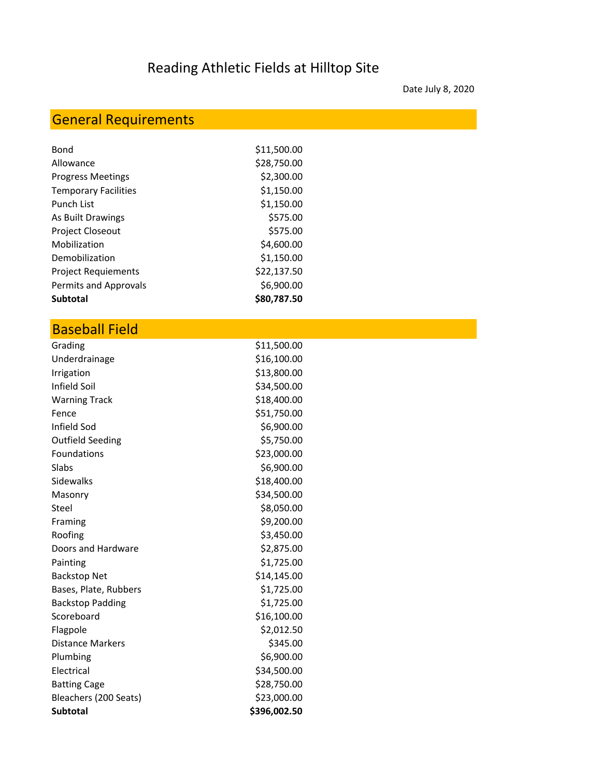## Reading Athletic Fields at Hilltop Site

Date July 8, 2020

## General Requirements

| Bond                        | \$11,500.00 |
|-----------------------------|-------------|
| Allowance                   | \$28,750.00 |
| <b>Progress Meetings</b>    | \$2,300.00  |
| <b>Temporary Facilities</b> | \$1,150.00  |
| <b>Punch List</b>           | \$1,150.00  |
| As Built Drawings           | \$575.00    |
| <b>Project Closeout</b>     | \$575.00    |
| Mobilization                | \$4,600.00  |
| Demobilization              | \$1,150.00  |
| <b>Project Requiements</b>  | \$22,137.50 |
| Permits and Approvals       | \$6,900.00  |
| <b>Subtotal</b>             | \$80,787.50 |

## Baseball Field

| Grading                 | \$11,500.00  |
|-------------------------|--------------|
| Underdrainage           | \$16,100.00  |
| Irrigation              | \$13,800.00  |
| Infield Soil            | \$34,500.00  |
| <b>Warning Track</b>    | \$18,400.00  |
| Fence                   | \$51,750.00  |
| Infield Sod             | \$6,900.00   |
| <b>Outfield Seeding</b> | \$5,750.00   |
| Foundations             | \$23,000.00  |
| Slabs                   | \$6,900.00   |
| Sidewalks               | \$18,400.00  |
| Masonry                 | \$34,500.00  |
| Steel                   | \$8,050.00   |
| Framing                 | \$9,200.00   |
| Roofing                 | \$3,450.00   |
| Doors and Hardware      | \$2,875.00   |
| Painting                | \$1,725.00   |
| <b>Backstop Net</b>     | \$14,145.00  |
| Bases, Plate, Rubbers   | \$1,725.00   |
| <b>Backstop Padding</b> | \$1,725.00   |
| Scoreboard              | \$16,100.00  |
| Flagpole                | \$2,012.50   |
| <b>Distance Markers</b> | \$345.00     |
| Plumbing                | \$6,900.00   |
| Electrical              | \$34,500.00  |
| <b>Batting Cage</b>     | \$28,750.00  |
| Bleachers (200 Seats)   | \$23,000.00  |
| <b>Subtotal</b>         | \$396,002.50 |